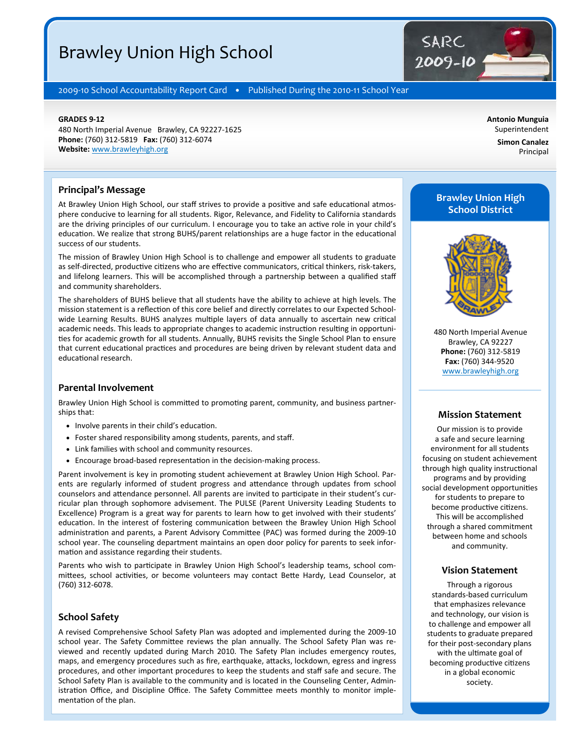# Brawley Union High School

2009-10 School Accountability Report Card · Published During the 2010-11 School Year

#### **GRADES 9‐12**

480 North Imperial Avenue Brawley, CA 92227‐1625 **Phone:** (760) 312‐5819 **Fax:** (760) 312‐6074 **Website:** www.brawleyhigh.org

**Simon Canalez**  Principal

**Antonio Munguia**  Superintendent

#### **Principal's Message**

At Brawley Union High School, our staff strives to provide a positive and safe educational atmosphere conducive to learning for all students. Rigor, Relevance, and Fidelity to California standards are the driving principles of our curriculum. I encourage you to take an active role in your child's education. We realize that strong BUHS/parent relationships are a huge factor in the educational success of our students.

The mission of Brawley Union High School is to challenge and empower all students to graduate as self-directed, productive citizens who are effective communicators, critical thinkers, risk-takers, and lifelong learners. This will be accomplished through a partnership between a qualified staff and community shareholders.

The shareholders of BUHS believe that all students have the ability to achieve at high levels. The mission statement is a reflection of this core belief and directly correlates to our Expected Schoolwide Learning Results. BUHS analyzes multiple layers of data annually to ascertain new critical academic needs. This leads to appropriate changes to academic instruction resulting in opportunities for academic growth for all students. Annually, BUHS revisits the Single School Plan to ensure that current educational practices and procedures are being driven by relevant student data and educational research.

#### **Parental Involvement**

Brawley Union High School is committed to promoting parent, community, and business partnerships that:

- Involve parents in their child's education.
- Foster shared responsibility among students, parents, and staff.
- Link families with school and community resources.
- Encourage broad-based representation in the decision-making process.

Parent involvement is key in promoting student achievement at Brawley Union High School. Parents are regularly informed of student progress and attendance through updates from school counselors and attendance personnel. All parents are invited to participate in their student's curricular plan through sophomore advisement. The PULSE (Parent University Leading Students to Excellence) Program is a great way for parents to learn how to get involved with their students' education. In the interest of fostering communication between the Brawley Union High School administration and parents, a Parent Advisory Committee (PAC) was formed during the 2009-10 school year. The counseling department maintains an open door policy for parents to seek infor‐ mation and assistance regarding their students.

Parents who wish to participate in Brawley Union High School's leadership teams, school committees, school activities, or become volunteers may contact Bette Hardy, Lead Counselor, at (760) 312‐6078.

#### **School Safety**

A revised Comprehensive School Safety Plan was adopted and implemented during the 2009‐10 school year. The Safety Committee reviews the plan annually. The School Safety Plan was reviewed and recently updated during March 2010. The Safety Plan includes emergency routes, maps, and emergency procedures such as fire, earthquake, attacks, lockdown, egress and ingress procedures, and other important procedures to keep the students and staff safe and secure. The School Safety Plan is available to the community and is located in the Counseling Center, Admin‐ istration Office, and Discipline Office. The Safety Committee meets monthly to monitor implementation of the plan.

# **Brawley Union High School District**

SARC

2009-10



480 North Imperial Avenue Brawley, CA 92227 **Phone:** (760) 312‐5819 **Fax:** (760) 344‐9520 www.brawleyhigh.org

#### **Mission Statement**

Our mission is to provide a safe and secure learning environment for all students focusing on student achievement through high quality instructional programs and by providing social development opportunities for students to prepare to become productive citizens. This will be accomplished through a shared commitment between home and schools and community.

#### **Vision Statement**

Through a rigorous standards‐based curriculum that emphasizes relevance and technology, our vision is to challenge and empower all students to graduate prepared for their post‐secondary plans with the ultimate goal of becoming productive citizens in a global economic society.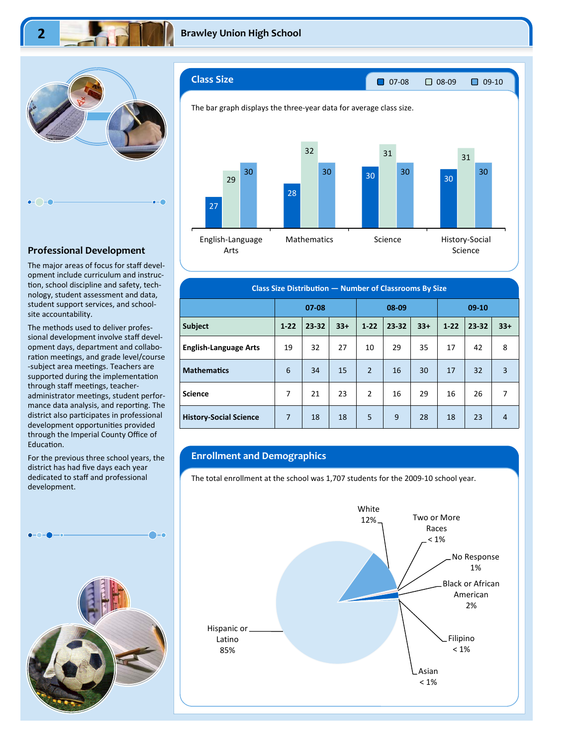

#### **Professional Development**

The major areas of focus for staff devel‐ opment include curriculum and instruc‐ tion, school discipline and safety, technology, student assessment and data, student support services, and school‐ site accountability.

The methods used to deliver profes‐ sional development involve staff devel‐ opment days, department and collabo‐ ration meetings, and grade level/course -subject area meetings. Teachers are supported during the implementation through staff meetings, teacheradministrator meetings, student performance data analysis, and reporting. The district also participates in professional development opportunities provided through the Imperial County Office of Education.

For the previous three school years, the district has had five days each year dedicated to staff and professional development.





| <b>Class Size Distribution - Number of Classrooms By Size</b> |                    |       |       |                |       |         |          |       |                |
|---------------------------------------------------------------|--------------------|-------|-------|----------------|-------|---------|----------|-------|----------------|
|                                                               | 08-09<br>$07 - 08$ |       |       |                |       | $09-10$ |          |       |                |
| <b>Subject</b>                                                | $1 - 22$           | 23-32 | $33+$ | $1 - 22$       | 23-32 | $33+$   | $1 - 22$ | 23-32 | $33+$          |
| <b>English-Language Arts</b>                                  | 19                 | 32    | 27    | 10             | 29    | 35      | 17       | 42    | 8              |
| <b>Mathematics</b>                                            | 6                  | 34    | 15    | $\overline{2}$ | 16    | 30      | 17       | 32    | $\overline{3}$ |
| <b>Science</b>                                                | 7                  | 21    | 23    | $\overline{2}$ | 16    | 29      | 16       | 26    | 7              |
| <b>History-Social Science</b>                                 | 7                  | 18    | 18    | 5              | 9     | 28      | 18       | 23    | $\overline{4}$ |

### **Enrollment and Demographics**

The total enrollment at the school was 1,707 students for the 2009-10 school year.

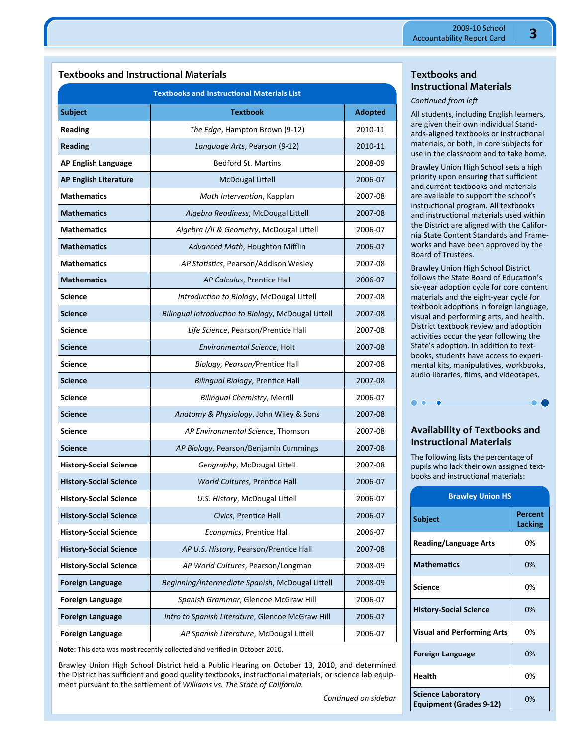# **Textbooks and Instructional Materials**

|                               | <b>Textbooks and Instructional Materials List</b>   |                |
|-------------------------------|-----------------------------------------------------|----------------|
| <b>Subject</b>                | <b>Textbook</b>                                     | <b>Adopted</b> |
| Reading                       | The Edge, Hampton Brown (9-12)                      | 2010-11        |
| <b>Reading</b>                | Language Arts, Pearson (9-12)                       | 2010-11        |
| <b>AP English Language</b>    | <b>Bedford St. Martins</b>                          | 2008-09        |
| <b>AP English Literature</b>  | <b>McDougal Littell</b>                             | 2006-07        |
| <b>Mathematics</b>            | Math Intervention, Kapplan                          | 2007-08        |
| <b>Mathematics</b>            | Algebra Readiness, McDougal Littell                 | 2007-08        |
| <b>Mathematics</b>            | Algebra I/II & Geometry, McDougal Littell           | 2006-07        |
| <b>Mathematics</b>            | Advanced Math, Houghton Mifflin                     | 2006-07        |
| <b>Mathematics</b>            | AP Statistics, Pearson/Addison Wesley               | 2007-08        |
| <b>Mathematics</b>            | AP Calculus, Prentice Hall                          | 2006-07        |
| <b>Science</b>                | Introduction to Biology, McDougal Littell           | 2007-08        |
| <b>Science</b>                | Bilingual Introduction to Biology, McDougal Littell | 2007-08        |
| <b>Science</b>                | Life Science, Pearson/Prentice Hall                 | 2007-08        |
| <b>Science</b>                | Environmental Science, Holt                         | 2007-08        |
| Science                       | Biology, Pearson/Prentice Hall                      | 2007-08        |
| <b>Science</b>                | Bilingual Biology, Prentice Hall                    | 2007-08        |
| Science                       | <b>Bilingual Chemistry, Merrill</b>                 | 2006-07        |
| Science                       | Anatomy & Physiology, John Wiley & Sons             | 2007-08        |
| Science                       | AP Environmental Science, Thomson                   | 2007-08        |
| <b>Science</b>                | AP Biology, Pearson/Benjamin Cummings               | 2007-08        |
| <b>History-Social Science</b> | Geography, McDougal Littell                         | 2007-08        |
| <b>History-Social Science</b> | World Cultures, Prentice Hall                       | 2006-07        |
| <b>History-Social Science</b> | U.S. History, McDougal Littell                      | 2006-07        |
| <b>History-Social Science</b> | Civics, Prentice Hall                               | 2006-07        |
| <b>History-Social Science</b> | Economics, Prentice Hall                            | 2006-07        |
| <b>History-Social Science</b> | AP U.S. History, Pearson/Prentice Hall              | 2007-08        |
| <b>History-Social Science</b> | AP World Cultures, Pearson/Longman                  | 2008-09        |
| <b>Foreign Language</b>       | Beginning/Intermediate Spanish, McDougal Littell    | 2008-09        |
| <b>Foreign Language</b>       | Spanish Grammar, Glencoe McGraw Hill                | 2006-07        |
| <b>Foreign Language</b>       | Intro to Spanish Literature, Glencoe McGraw Hill    | 2006-07        |
| <b>Foreign Language</b>       | AP Spanish Literature, McDougal Littell             | 2006-07        |

**Note:** This data was most recently collected and verified in October 2010.

Brawley Union High School District held a Public Hearing on October 13, 2010, and determined the District has sufficient and good quality textbooks, instructional materials, or science lab equipment pursuant to the settlement of *Williams vs. The State of California.* 

**Textbooks and Instructional Materials** 

#### *Continued from left*

All students, including English learners, are given their own individual Stand‐ ards-aligned textbooks or instructional materials, or both, in core subjects for use in the classroom and to take home.

Brawley Union High School sets a high priority upon ensuring that sufficient and current textbooks and materials are available to support the school's instructional program. All textbooks and instructional materials used within the District are aligned with the Califor‐ nia State Content Standards and Frame‐ works and have been approved by the Board of Trustees.

Brawley Union High School District follows the State Board of Education's six-year adoption cycle for core content materials and the eight‐year cycle for textbook adoptions in foreign language, visual and performing arts, and health. District textbook review and adoption activities occur the year following the State's adoption. In addition to textbooks, students have access to experi‐ mental kits, manipulatives, workbooks, audio libraries, films, and videotapes.



# **Availability of Textbooks and Instructional Materials**

The following lists the percentage of pupils who lack their own assigned textbooks and instructional materials:

| <b>Brawley Union HS</b>                                     |                    |  |  |  |
|-------------------------------------------------------------|--------------------|--|--|--|
| Subject                                                     | Percent<br>Lacking |  |  |  |
| <b>Reading/Language Arts</b>                                | 0%                 |  |  |  |
| <b>Mathematics</b>                                          | 0%                 |  |  |  |
| Science                                                     | በ%                 |  |  |  |
| <b>History-Social Science</b>                               | 0%                 |  |  |  |
| <b>Visual and Performing Arts</b>                           | 0%                 |  |  |  |
| <b>Foreign Language</b>                                     | 0%                 |  |  |  |
| <b>Health</b>                                               | 0%                 |  |  |  |
| <b>Science Laboratory</b><br><b>Equipment (Grades 9-12)</b> | 0%                 |  |  |  |

*ConƟnued on sidebar*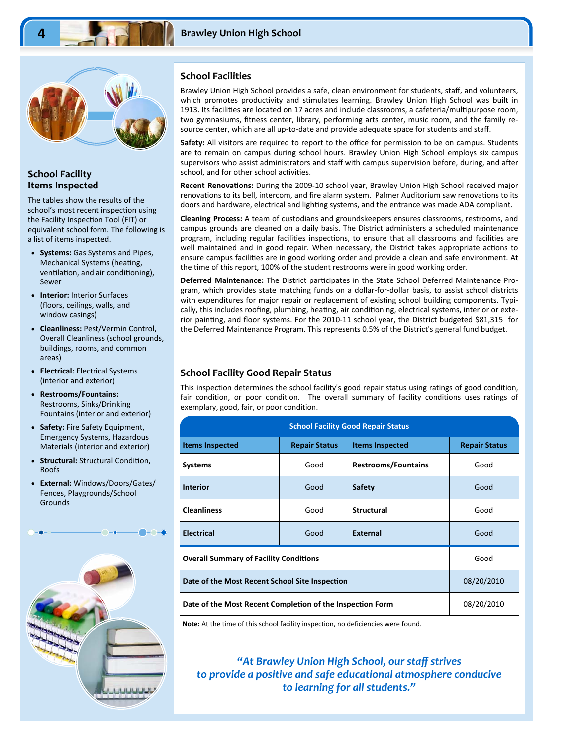

#### **School Facility Items Inspected**

The tables show the results of the school's most recent inspection using the Facility Inspection Tool (FIT) or equivalent school form. The following is a list of items inspected.

- **Systems:** Gas Systems and Pipes, Mechanical Systems (heating, ventilation, and air conditioning), Sewer
- **Interior:** Interior Surfaces (floors, ceilings, walls, and window casings)
- **Cleanliness:** Pest/Vermin Control, Overall Cleanliness (school grounds, buildings, rooms, and common areas)
- **Electrical:** Electrical Systems (interior and exterior)
- **Restrooms/Fountains:**  Restrooms, Sinks/Drinking Fountains (interior and exterior)
- **Safety:** Fire Safety Equipment, Emergency Systems, Hazardous Materials (interior and exterior)
- **Structural: Structural Condition,** Roofs
- **External:** Windows/Doors/Gates/ Fences, Playgrounds/School **Grounds**



#### **School Facilities**

Brawley Union High School provides a safe, clean environment for students, staff, and volunteers, which promotes productivity and stimulates learning. Brawley Union High School was built in 1913. Its facilities are located on 17 acres and include classrooms, a cafeteria/multipurpose room, two gymnasiums, fitness center, library, performing arts center, music room, and the family re‐ source center, which are all up-to-date and provide adequate space for students and staff.

**Safety:** All visitors are required to report to the office for permission to be on campus. Students are to remain on campus during school hours. Brawley Union High School employs six campus supervisors who assist administrators and staff with campus supervision before, during, and after school, and for other school activities.

Recent Renovations: During the 2009-10 school year, Brawley Union High School received major renovations to its bell, intercom, and fire alarm system. Palmer Auditorium saw renovations to its doors and hardware, electrical and lighting systems, and the entrance was made ADA compliant.

**Cleaning Process:** A team of custodians and groundskeepers ensures classrooms, restrooms, and campus grounds are cleaned on a daily basis. The District administers a scheduled maintenance program, including regular facilities inspections, to ensure that all classrooms and facilities are well maintained and in good repair. When necessary, the District takes appropriate actions to ensure campus facilities are in good working order and provide a clean and safe environment. At the time of this report, 100% of the student restrooms were in good working order.

Deferred Maintenance: The District participates in the State School Deferred Maintenance Program, which provides state matching funds on a dollar‐for‐dollar basis, to assist school districts with expenditures for major repair or replacement of existing school building components. Typically, this includes roofing, plumbing, heating, air conditioning, electrical systems, interior or exterior painting, and floor systems. For the 2010-11 school year, the District budgeted \$81,315 for the Deferred Maintenance Program. This represents 0.5% of the District's general fund budget.

#### **School Facility Good Repair Status**

This inspection determines the school facility's good repair status using ratings of good condition, fair condition, or poor condition. The overall summary of facility conditions uses ratings of exemplary, good, fair, or poor condition.

| <b>School Facility Good Repair Status</b>                 |                      |                            |                      |  |  |  |  |
|-----------------------------------------------------------|----------------------|----------------------------|----------------------|--|--|--|--|
| <b>Items Inspected</b>                                    | <b>Repair Status</b> | <b>Items Inspected</b>     | <b>Repair Status</b> |  |  |  |  |
| <b>Systems</b>                                            | Good                 | <b>Restrooms/Fountains</b> | Good                 |  |  |  |  |
| <b>Interior</b>                                           | Good                 | <b>Safety</b>              | Good                 |  |  |  |  |
| <b>Cleanliness</b>                                        | Good                 | <b>Structural</b>          | Good                 |  |  |  |  |
| <b>Electrical</b>                                         | Good                 | <b>External</b>            | Good                 |  |  |  |  |
| <b>Overall Summary of Facility Conditions</b>             | Good                 |                            |                      |  |  |  |  |
| Date of the Most Recent School Site Inspection            | 08/20/2010           |                            |                      |  |  |  |  |
| Date of the Most Recent Completion of the Inspection Form | 08/20/2010           |                            |                      |  |  |  |  |

Note: At the time of this school facility inspection, no deficiencies were found.

*"At Brawley Union High School, our staff strives to provide a positive and safe educational atmosphere conducive to learning for all students."*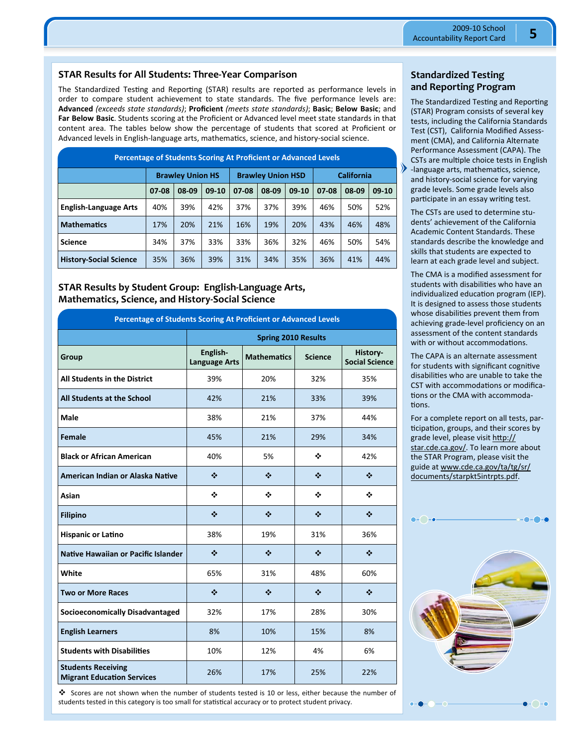#### **STAR Results for All Students: Three‐Year Comparison**

The Standardized Testing and Reporting (STAR) results are reported as performance levels in order to compare student achievement to state standards. The five performance levels are: **Advanced** *(exceeds state standards)*; **Proficient** *(meets state standards)*; **Basic**; **Below Basic**; and **Far Below Basic**. Students scoring at the Proficient or Advanced level meet state standards in that content area. The tables below show the percentage of students that scored at Proficient or Advanced levels in English-language arts, mathematics, science, and history-social science.

| <b>Percentage of Students Scoring At Proficient or Advanced Levels</b> |       |                                                     |         |       |       |         |       |                   |         |
|------------------------------------------------------------------------|-------|-----------------------------------------------------|---------|-------|-------|---------|-------|-------------------|---------|
|                                                                        |       | <b>Brawley Union HS</b><br><b>Brawley Union HSD</b> |         |       |       |         |       | <b>California</b> |         |
|                                                                        | 07-08 | 08-09                                               | $09-10$ | 07-08 | 08-09 | $09-10$ | 07-08 | 08-09             | $09-10$ |
| <b>English-Language Arts</b>                                           | 40%   | 39%                                                 | 42%     | 37%   | 37%   | 39%     | 46%   | 50%               | 52%     |
| <b>Mathematics</b>                                                     | 17%   | 20%                                                 | 21%     | 16%   | 19%   | 20%     | 43%   | 46%               | 48%     |
| <b>Science</b>                                                         | 34%   | 37%                                                 | 33%     | 33%   | 36%   | 32%     | 46%   | 50%               | 54%     |
| <b>History-Social Science</b>                                          | 35%   | 36%                                                 | 39%     | 31%   | 34%   | 35%     | 36%   | 41%               | 44%     |

**STAR Results by Student Group: English‐Language Arts, Mathematics, Science, and History‐Social Science** 

| Percentage of Students Scoring At Proficient or Advanced Levels |                                  |                            |                |                                           |  |  |
|-----------------------------------------------------------------|----------------------------------|----------------------------|----------------|-------------------------------------------|--|--|
|                                                                 |                                  | <b>Spring 2010 Results</b> |                |                                           |  |  |
| Group                                                           | English-<br><b>Language Arts</b> | <b>Mathematics</b>         | <b>Science</b> | History-<br><b>Social Science</b>         |  |  |
| <b>All Students in the District</b>                             | 39%                              | 20%                        | 32%            | 35%                                       |  |  |
| <b>All Students at the School</b>                               | 42%                              | 21%                        | 33%            | 39%                                       |  |  |
| <b>Male</b>                                                     | 38%                              | 21%                        | 37%            | 44%                                       |  |  |
| Female                                                          | 45%                              | 21%                        | 29%            | 34%                                       |  |  |
| <b>Black or African American</b>                                | 40%                              | 5%                         | ❖              | 42%                                       |  |  |
| American Indian or Alaska Native                                | ❖                                | ❖                          | ❖              | ❖                                         |  |  |
| Asian                                                           | ❖                                | ❖                          | ÷              | ❖                                         |  |  |
| <b>Filipino</b>                                                 | ❖                                | ❖                          | $\clubsuit$    | ❖                                         |  |  |
| <b>Hispanic or Latino</b>                                       | 38%                              | 19%                        | 31%            | 36%                                       |  |  |
| Native Hawaiian or Pacific Islander                             | ❖                                | ❖                          | ❖              | $\mathbf{r}^{\star}_{\mathbf{r}^{\star}}$ |  |  |
| White                                                           | 65%                              | 31%                        | 48%            | 60%                                       |  |  |
| <b>Two or More Races</b>                                        | ❖                                | ❖                          | ❖              | ❖                                         |  |  |
| <b>Socioeconomically Disadvantaged</b>                          | 32%                              | 17%                        | 28%            | 30%                                       |  |  |
| <b>English Learners</b>                                         | 8%                               | 10%                        | 15%            | 8%                                        |  |  |
| <b>Students with Disabilities</b>                               | 10%                              | 12%                        | 4%             | 6%                                        |  |  |
| <b>Students Receiving</b><br><b>Migrant Education Services</b>  | 26%                              | 17%                        | 25%            | 22%                                       |  |  |

 Scores are not shown when the number of students tested is 10 or less, either because the number of students tested in this category is too small for statistical accuracy or to protect student privacy.

#### **Standardized Testing and Reporting Program**

The Standardized Testing and Reporting (STAR) Program consists of several key tests, including the California Standards Test (CST), California Modified Assess‐ ment (CMA), and California Alternate Performance Assessment (CAPA). The CSTs are multiple choice tests in English -language arts, mathematics, science, and history‐social science for varying grade levels. Some grade levels also participate in an essay writing test.

The CSTs are used to determine stu‐ dents' achievement of the California Academic Content Standards. These standards describe the knowledge and skills that students are expected to learn at each grade level and subject.

The CMA is a modified assessment for students with disabilities who have an individualized education program (IEP). It is designed to assess those students whose disabilities prevent them from achieving grade‐level proficiency on an assessment of the content standards with or without accommodations.

The CAPA is an alternate assessment for students with significant cognitive disabilities who are unable to take the CST with accommodations or modifications or the CMA with accommodations.

For a complete report on all tests, par‐ ticipation, groups, and their scores by grade level, please visit http:// star.cde.ca.gov/. To learn more about the STAR Program, please visit the guide at www.cde.ca.gov/ta/tg/sr/ documents/starpkt5intrpts.pdf.

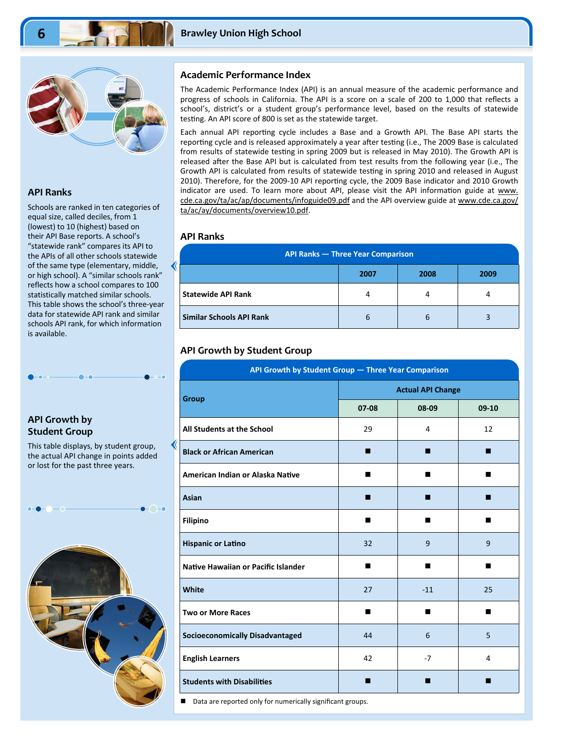

#### **API Ranks**

Schools are ranked in ten categories of equal size, called deciles, from 1 (lowest) to 10 (highest) based on their API Base reports. A school's "statewide rank" compares its API to the APIs of all other schools statewide of the same type (elementary, middle, or high school). A "similar schools rank" reflects how a school compares to 100 statistically matched similar schools. This table shows the school's three‐year data for statewide API rank and similar schools API rank, for which information is available.

#### **API Growth by Student Group**

This table displays, by student group, the actual API change in points added or lost for the past three years.



#### **Academic Performance Index**

The Academic Performance Index (API) is an annual measure of the academic performance and progress of schools in California. The API is a score on a scale of 200 to 1,000 that reflects a school's, district's or a student group's performance level, based on the results of statewide testing. An API score of 800 is set as the statewide target.

Each annual API reporting cycle includes a Base and a Growth API. The Base API starts the reporting cycle and is released approximately a year after testing (i.e., The 2009 Base is calculated from results of statewide testing in spring 2009 but is released in May 2010). The Growth API is released after the Base API but is calculated from test results from the following year (i.e., The Growth API is calculated from results of statewide testing in spring 2010 and released in August 2010). Therefore, for the 2009-10 API reporting cycle, the 2009 Base indicator and 2010 Growth indicator are used. To learn more about API, please visit the API information guide at www. cde.ca.gov/ta/ac/ap/documents/infoguide09.pdf and the API overview guide at www.cde.ca.gov/ ta/ac/ay/documents/overview10.pdf.

#### **API Ranks**

| <b>API Ranks - Three Year Comparison</b> |      |      |      |  |  |  |
|------------------------------------------|------|------|------|--|--|--|
|                                          | 2007 | 2008 | 2009 |  |  |  |
| <b>Statewide API Rank</b>                | 4    | 4    | 4    |  |  |  |
| Similar Schools API Rank                 | b    | b    |      |  |  |  |

#### **API Growth by Student Group**

| API Growth by Student Group - Three Year Comparison |                          |       |         |  |  |  |
|-----------------------------------------------------|--------------------------|-------|---------|--|--|--|
| <b>Group</b>                                        | <b>Actual API Change</b> |       |         |  |  |  |
|                                                     | $07-08$                  | 08-09 | $09-10$ |  |  |  |
| All Students at the School                          | 29                       | 4     | 12      |  |  |  |
| <b>Black or African American</b>                    | ■                        | п     | ■       |  |  |  |
| American Indian or Alaska Native                    | ■                        | ■     | ■       |  |  |  |
| Asian                                               | п                        | п     | ■       |  |  |  |
| <b>Filipino</b>                                     | ■                        | ■     |         |  |  |  |
| <b>Hispanic or Latino</b>                           | 32                       | 9     | 9       |  |  |  |
| Native Hawaiian or Pacific Islander                 | ■                        | ■     | п       |  |  |  |
| White                                               | 27                       | $-11$ | 25      |  |  |  |
| <b>Two or More Races</b>                            | ■                        | ■     | ■       |  |  |  |
| <b>Socioeconomically Disadvantaged</b>              | 44                       | 6     | 5       |  |  |  |
| <b>English Learners</b>                             | 42                       | $-7$  | 4       |  |  |  |
| <b>Students with Disabilities</b>                   | п                        | ■     |         |  |  |  |

Data are reported only for numerically significant groups.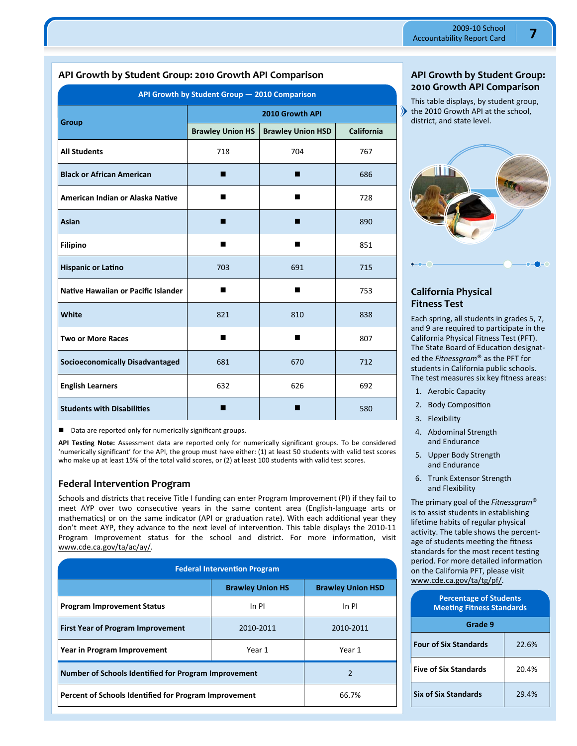# **API Growth by Student Group: 2010 Growth API Comparison**

| API Growth by Student Group - 2010 Comparison |                         |                          |            |  |  |  |
|-----------------------------------------------|-------------------------|--------------------------|------------|--|--|--|
| Group                                         | 2010 Growth API         |                          |            |  |  |  |
|                                               | <b>Brawley Union HS</b> | <b>Brawley Union HSD</b> | California |  |  |  |
| <b>All Students</b>                           | 718                     | 704                      | 767        |  |  |  |
| <b>Black or African American</b>              | ۷                       | ■                        | 686        |  |  |  |
| American Indian or Alaska Native              | ш                       | ■                        | 728        |  |  |  |
| Asian                                         | ٠                       | ■                        | 890        |  |  |  |
| <b>Filipino</b>                               | ■                       | ■                        | 851        |  |  |  |
| <b>Hispanic or Latino</b>                     | 703                     | 691                      | 715        |  |  |  |
| Native Hawaiian or Pacific Islander           | ■                       | п                        | 753        |  |  |  |
| White                                         | 821                     | 810                      | 838        |  |  |  |
| <b>Two or More Races</b>                      | ■                       | п                        | 807        |  |  |  |
| <b>Socioeconomically Disadvantaged</b>        | 681                     | 670                      | 712        |  |  |  |
| <b>English Learners</b>                       | 632                     | 626                      | 692        |  |  |  |
| <b>Students with Disabilities</b>             |                         |                          | 580        |  |  |  |

■ Data are reported only for numerically significant groups.

**API TesƟng Note:** Assessment data are reported only for numerically significant groups. To be considered 'numerically significant' for the API, the group must have either: (1) at least 50 students with valid test scores who make up at least 15% of the total valid scores, or (2) at least 100 students with valid test scores.

#### **Federal Intervention Program**

Schools and districts that receive Title I funding can enter Program Improvement (PI) if they fail to meet AYP over two consecutive years in the same content area (English-language arts or mathematics) or on the same indicator (API or graduation rate). With each additional year they don't meet AYP, they advance to the next level of intervention. This table displays the 2010-11 Program Improvement status for the school and district. For more information, visit www.cde.ca.gov/ta/ac/ay/.

| <b>Federal Intervention Program</b>                   |                         |                          |  |  |  |
|-------------------------------------------------------|-------------------------|--------------------------|--|--|--|
|                                                       | <b>Brawley Union HS</b> | <b>Brawley Union HSD</b> |  |  |  |
| <b>Program Improvement Status</b>                     | In PI                   | In PI                    |  |  |  |
| <b>First Year of Program Improvement</b>              | 2010-2011               | 2010-2011                |  |  |  |
| Year in Program Improvement                           | Year 1                  | Year 1                   |  |  |  |
| Number of Schools Identified for Program Improvement  | $\mathfrak{p}$          |                          |  |  |  |
| Percent of Schools Identified for Program Improvement | 66.7%                   |                          |  |  |  |

#### **API Growth by Student Group: 2010 Growth API Comparison**

This table displays, by student group, the 2010 Growth API at the school, district, and state level.



### **California Physical Fitness Test**

Each spring, all students in grades 5, 7, and 9 are required to participate in the California Physical Fitness Test (PFT). The State Board of Education designated the *Fitnessgram*® as the PFT for students in California public schools. The test measures six key fitness areas:

- 1. Aerobic Capacity
- 2. Body Composition
- 3. Flexibility
- 4. Abdominal Strength and Endurance
- 5. Upper Body Strength and Endurance
- 6. Trunk Extensor Strength and Flexibility

The primary goal of the *Fitnessgram*® is to assist students in establishing lifetime habits of regular physical activity. The table shows the percentage of students meeting the fitness standards for the most recent testing period. For more detailed information on the California PFT, please visit www.cde.ca.gov/ta/tg/pf/.

| <b>Percentage of Students</b><br><b>Meeting Fitness Standards</b> |       |  |  |  |
|-------------------------------------------------------------------|-------|--|--|--|
| Grade 9                                                           |       |  |  |  |
| <b>Four of Six Standards</b>                                      | 22.6% |  |  |  |
| <b>Five of Six Standards</b>                                      | 20.4% |  |  |  |
| <b>Six of Six Standards</b>                                       | 29.4% |  |  |  |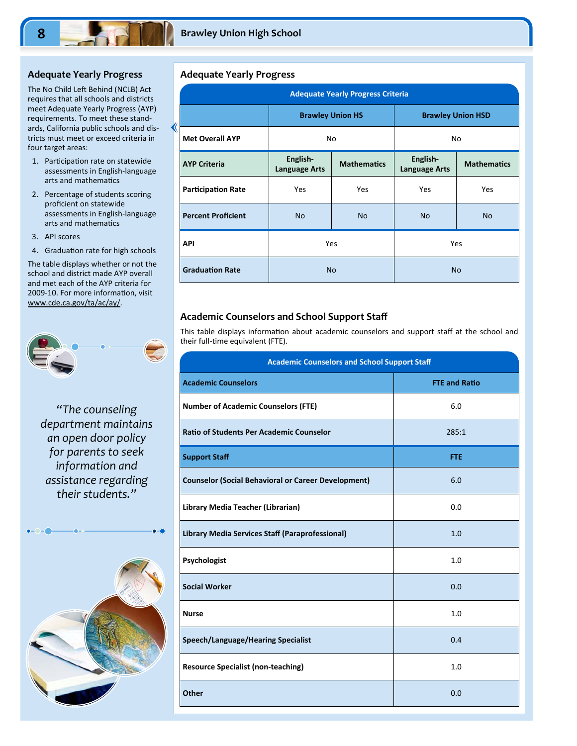#### **Adequate Yearly Progress**

The No Child Left Behind (NCLB) Act requires that all schools and districts meet Adequate Yearly Progress (AYP) requirements. To meet these stand‐ ards, California public schools and dis‐ tricts must meet or exceed criteria in four target areas:

- 1. Participation rate on statewide assessments in English‐language arts and mathematics
- 2. Percentage of students scoring proficient on statewide assessments in English‐language arts and mathematics
- 3. API scores
- 4. Graduation rate for high schools

The table displays whether or not the school and district made AYP overall and met each of the AYP criteria for 2009-10. For more information, visit www.cde.ca.gov/ta/ac/ay/.

*"The counseling department maintains an open door policy for parents to seek information and assistance regarding their students."* 



#### **Adequate Yearly Progress**

∢

| <b>Adequate Yearly Progress Criteria</b> |                                  |                    |                                  |                    |  |  |  |
|------------------------------------------|----------------------------------|--------------------|----------------------------------|--------------------|--|--|--|
|                                          | <b>Brawley Union HS</b>          |                    | <b>Brawley Union HSD</b>         |                    |  |  |  |
| <b>Met Overall AYP</b>                   | No                               |                    | No                               |                    |  |  |  |
| <b>AYP Criteria</b>                      | English-<br><b>Language Arts</b> | <b>Mathematics</b> | English-<br><b>Language Arts</b> | <b>Mathematics</b> |  |  |  |
| <b>Participation Rate</b>                | Yes                              | Yes                | Yes                              | Yes                |  |  |  |
| <b>Percent Proficient</b>                | <b>No</b>                        | <b>No</b>          | <b>No</b>                        | <b>No</b>          |  |  |  |
| <b>API</b>                               |                                  | <b>Yes</b>         |                                  | Yes                |  |  |  |
| <b>Graduation Rate</b>                   | <b>No</b>                        |                    | <b>No</b>                        |                    |  |  |  |

#### **Academic Counselors and School Support Staff**

This table displays information about academic counselors and support staff at the school and their full-time equivalent (FTE).

| <b>Academic Counselors and School Support Staff</b>        |                      |  |  |
|------------------------------------------------------------|----------------------|--|--|
| <b>Academic Counselors</b>                                 | <b>FTE and Ratio</b> |  |  |
| <b>Number of Academic Counselors (FTE)</b>                 | 6.0                  |  |  |
| <b>Ratio of Students Per Academic Counselor</b>            | 285:1                |  |  |
| <b>Support Staff</b>                                       | <b>FTE</b>           |  |  |
| <b>Counselor (Social Behavioral or Career Development)</b> | 6.0                  |  |  |
| Library Media Teacher (Librarian)                          | 0.0                  |  |  |
| Library Media Services Staff (Paraprofessional)            | 1.0                  |  |  |
| Psychologist                                               | 1.0                  |  |  |
| <b>Social Worker</b>                                       | 0.0                  |  |  |
| <b>Nurse</b>                                               | 1.0                  |  |  |
| <b>Speech/Language/Hearing Specialist</b>                  | 0.4                  |  |  |
| <b>Resource Specialist (non-teaching)</b>                  | 1.0                  |  |  |
| <b>Other</b>                                               | 0.0                  |  |  |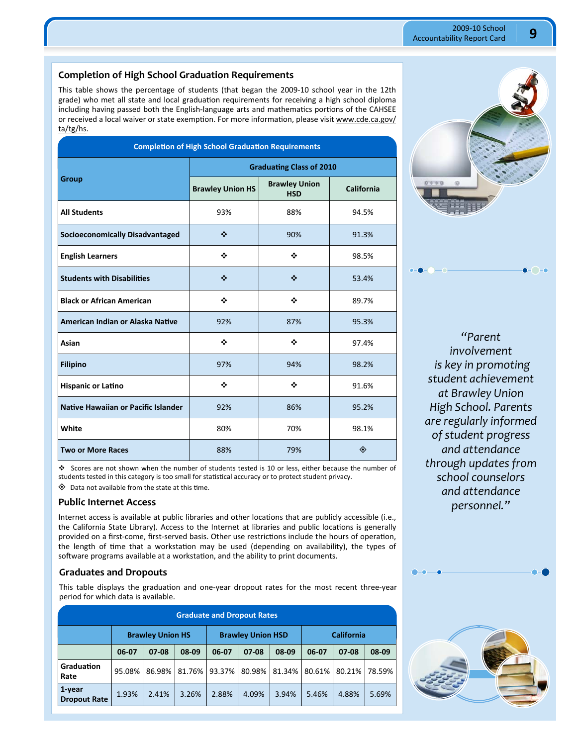#### **Completion of High School Graduation Requirements**

This table shows the percentage of students (that began the 2009-10 school year in the 12th grade) who met all state and local graduation requirements for receiving a high school diploma including having passed both the English-language arts and mathematics portions of the CAHSEE or received a local waiver or state exemption. For more information, please visit www.cde.ca.gov/ ta/tg/hs.

| <b>Completion of High School Graduation Requirements</b> |                                 |                                    |            |  |
|----------------------------------------------------------|---------------------------------|------------------------------------|------------|--|
|                                                          | <b>Graduating Class of 2010</b> |                                    |            |  |
| <b>Group</b>                                             | <b>Brawley Union HS</b>         | <b>Brawley Union</b><br><b>HSD</b> | California |  |
| <b>All Students</b>                                      | 93%                             | 88%                                | 94.5%      |  |
| <b>Socioeconomically Disadvantaged</b>                   | ❖                               | 90%                                | 91.3%      |  |
| <b>English Learners</b>                                  | ❖                               | ❖                                  | 98.5%      |  |
| <b>Students with Disabilities</b>                        | ❖                               | ❖                                  | 53.4%      |  |
| <b>Black or African American</b>                         | ❖                               | ❖                                  | 89.7%      |  |
| American Indian or Alaska Native                         | 92%                             | 87%                                | 95.3%      |  |
| Asian                                                    | ❖                               | ❖                                  | 97.4%      |  |
| <b>Filipino</b>                                          | 97%                             | 94%                                | 98.2%      |  |
| <b>Hispanic or Latino</b>                                | ❖                               | ❖                                  | 91.6%      |  |
| Native Hawaiian or Pacific Islander                      | 92%                             | 86%                                | 95.2%      |  |
| White                                                    | 80%                             | 70%                                | 98.1%      |  |
| <b>Two or More Races</b>                                 | 88%                             | 79%                                | ◈          |  |

 Scores are not shown when the number of students tested is 10 or less, either because the number of students tested in this category is too small for statistical accuracy or to protect student privacy.

 $\diamondsuit$  Data not available from the state at this time.

#### **Public Internet Access**

Internet access is available at public libraries and other locations that are publicly accessible (i.e., the California State Library). Access to the Internet at libraries and public locations is generally provided on a first-come, first-served basis. Other use restrictions include the hours of operation, the length of time that a workstation may be used (depending on availability), the types of software programs available at a workstation, and the ability to print documents.

#### **Graduates and Dropouts**

This table displays the graduation and one-year dropout rates for the most recent three-year period for which data is available.

| <b>Graduate and Dropout Rates</b> |        |                                                     |        |        |        |                   |        |         |        |
|-----------------------------------|--------|-----------------------------------------------------|--------|--------|--------|-------------------|--------|---------|--------|
|                                   |        | <b>Brawley Union HS</b><br><b>Brawley Union HSD</b> |        |        |        | <b>California</b> |        |         |        |
|                                   | 06-07  | $07-08$                                             | 08-09  | 06-07  | 07-08  | 08-09             | 06-07  | $07-08$ | 08-09  |
| Graduation<br>Rate                | 95.08% | 86.98%                                              | 81.76% | 93.37% | 80.98% | 81.34%            | 80.61% | 80.21%  | 78.59% |
| 1-year<br><b>Dropout Rate</b>     | 1.93%  | 2.41%                                               | 3.26%  | 2.88%  | 4.09%  | 3.94%             | 5.46%  | 4.88%   | 5.69%  |



*"Parent involvement is key in promoting student achievement at Brawley Union High School. Parents are regularly informed of student progress and attendance through updates from school counselors and attendance personnel."* 

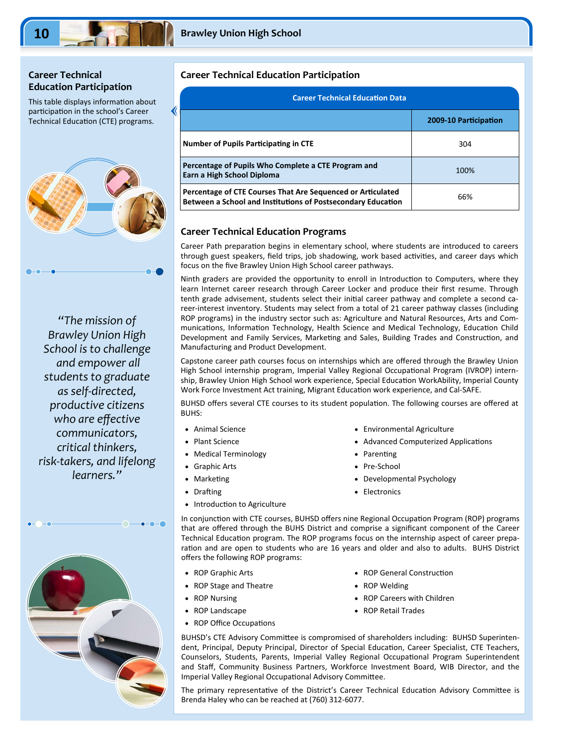# **Career Technical Education Participation**

This table displays information about participation in the school's Career Technical Education (CTE) programs.



*"The mission of Brawley Union High School is to challenge and empower all students to graduate as self‐directed, productive citizens who are effective communicators, critical thinkers, risk‐takers, and lifelong learners."* 



# **Career Technical Education Participation**

| <b>Career Technical Education Data</b>                                                                                      |                       |  |  |
|-----------------------------------------------------------------------------------------------------------------------------|-----------------------|--|--|
|                                                                                                                             | 2009-10 Participation |  |  |
| <b>Number of Pupils Participating in CTE</b>                                                                                | 304                   |  |  |
| Percentage of Pupils Who Complete a CTE Program and<br>Earn a High School Diploma                                           | 100%                  |  |  |
| Percentage of CTE Courses That Are Sequenced or Articulated<br>Between a School and Institutions of Postsecondary Education | 66%                   |  |  |

#### **Career Technical Education Programs**

Career Path preparation begins in elementary school, where students are introduced to careers through guest speakers, field trips, job shadowing, work based activities, and career days which focus on the five Brawley Union High School career pathways.

Ninth graders are provided the opportunity to enroll in Introduction to Computers, where they learn Internet career research through Career Locker and produce their first resume. Through tenth grade advisement, students select their initial career pathway and complete a second career-interest inventory. Students may select from a total of 21 career pathway classes (including ROP programs) in the industry sector such as: Agriculture and Natural Resources, Arts and Com‐ munications, Information Technology, Health Science and Medical Technology, Education Child Development and Family Services, Marketing and Sales, Building Trades and Construction, and Manufacturing and Product Development.

Capstone career path courses focus on internships which are offered through the Brawley Union High School internship program, Imperial Valley Regional Occupational Program (IVROP) internship, Brawley Union High School work experience, Special Education WorkAbility, Imperial County Work Force Investment Act training, Migrant Education work experience, and Cal-SAFE.

BUHSD offers several CTE courses to its student population. The following courses are offered at BUHS:

- Animal Science
- Plant Science
- Medical Terminology
- Graphic Arts
- **Marketing**
- Drafting
- Introduction to Agriculture
- Environmental Agriculture
- Advanced Computerized Applications
- Parenting
- Pre-School
- Developmental Psychology

• ROP General Construction

ROP Careers with Children

• ROP Welding

ROP Retail Trades

• Electronics

In conjunction with CTE courses, BUHSD offers nine Regional Occupation Program (ROP) programs that are offered through the BUHS District and comprise a significant component of the Career Technical Education program. The ROP programs focus on the internship aspect of career preparation and are open to students who are 16 years and older and also to adults. BUHS District offers the following ROP programs:

- ROP Graphic Arts
- ROP Stage and Theatre
- ROP Nursing
- ROP Landscape
- ROP Office Occupations
- BUHSD's CTE Advisory Committee is compromised of shareholders including: BUHSD Superinten-

dent, Principal, Deputy Principal, Director of Special Education, Career Specialist, CTE Teachers, Counselors, Students, Parents, Imperial Valley Regional Occupational Program Superintendent and Staff, Community Business Partners, Workforce Investment Board, WIB Director, and the Imperial Valley Regional Occupational Advisory Committee.

The primary representative of the District's Career Technical Education Advisory Committee is Brenda Haley who can be reached at (760) 312‐6077.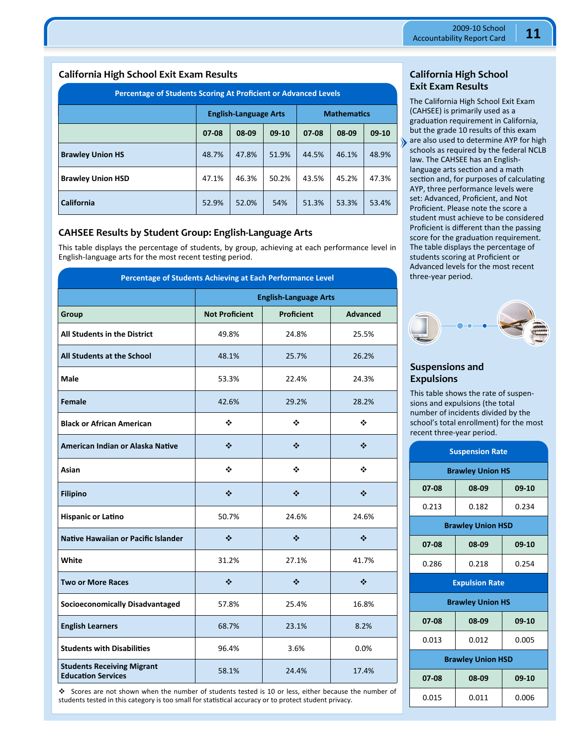#### **California High School Exit Exam Results**

| <b>Percentage of Students Scoring At Proficient or Advanced Levels</b> |         |                              |         |                    |       |         |
|------------------------------------------------------------------------|---------|------------------------------|---------|--------------------|-------|---------|
|                                                                        |         | <b>English-Language Arts</b> |         | <b>Mathematics</b> |       |         |
|                                                                        | $07-08$ | 08-09                        | $09-10$ | 07-08              | 08-09 | $09-10$ |
| <b>Brawley Union HS</b>                                                | 48.7%   | 47.8%                        | 51.9%   | 44.5%              | 46.1% | 48.9%   |
| <b>Brawley Union HSD</b>                                               | 47.1%   | 46.3%                        | 50.2%   | 43.5%              | 45.2% | 47.3%   |
| <b>California</b>                                                      | 52.9%   | 52.0%                        | 54%     | 51.3%              | 53.3% | 53.4%   |

#### **CAHSEE Results by Student Group: English‐Language Arts**

This table displays the percentage of students, by group, achieving at each performance level in English-language arts for the most recent testing period.

| Percentage of Students Achieving at Each Performance Level     |                              |                   |                 |  |
|----------------------------------------------------------------|------------------------------|-------------------|-----------------|--|
|                                                                | <b>English-Language Arts</b> |                   |                 |  |
| Group                                                          | <b>Not Proficient</b>        | <b>Proficient</b> | <b>Advanced</b> |  |
| <b>All Students in the District</b>                            | 49.8%                        | 24.8%             | 25.5%           |  |
| All Students at the School                                     | 48.1%                        | 25.7%             | 26.2%           |  |
| <b>Male</b>                                                    | 53.3%                        | 22.4%             | 24.3%           |  |
| Female                                                         | 42.6%                        | 29.2%             | 28.2%           |  |
| <b>Black or African American</b>                               | ❖                            | ❖                 | ❖               |  |
| American Indian or Alaska Native                               | ❖                            | ❖                 | ❖               |  |
| Asian                                                          | ❖                            | ❖                 | ❖               |  |
| <b>Filipino</b>                                                | ❖                            | ❖                 | ❖               |  |
| <b>Hispanic or Latino</b>                                      | 50.7%                        | 24.6%             | 24.6%           |  |
| Native Hawaiian or Pacific Islander                            | ❖                            | ❖                 | ❖               |  |
| White                                                          | 31.2%                        | 27.1%             | 41.7%           |  |
| <b>Two or More Races</b>                                       | ❖                            | ❖                 | ❖               |  |
| <b>Socioeconomically Disadvantaged</b>                         | 57.8%                        | 25.4%             | 16.8%           |  |
| <b>English Learners</b>                                        | 68.7%                        | 23.1%             | 8.2%            |  |
| <b>Students with Disabilities</b>                              | 96.4%                        | 3.6%              | 0.0%            |  |
| <b>Students Receiving Migrant</b><br><b>Education Services</b> | 58.1%                        | 24.4%             | 17.4%           |  |

 Scores are not shown when the number of students tested is 10 or less, either because the number of students tested in this category is too small for statistical accuracy or to protect student privacy.

#### **California High School Exit Exam Results**

The California High School Exit Exam (CAHSEE) is primarily used as a graduation requirement in California, but the grade 10 results of this exam are also used to determine AYP for high schools as required by the federal NCLB law. The CAHSEE has an English‐ language arts section and a math section and, for purposes of calculating AYP, three performance levels were set: Advanced, Proficient, and Not Proficient. Please note the score a student must achieve to be considered Proficient is different than the passing score for the graduation requirement. The table displays the percentage of students scoring at Proficient or Advanced levels for the most recent three‐year period.



#### **Suspensions and Expulsions**

This table shows the rate of suspen‐ sions and expulsions (the total number of incidents divided by the school's total enrollment) for the most recent three‐year period.

| <b>Suspension Rate</b> |                          |       |  |  |  |  |
|------------------------|--------------------------|-------|--|--|--|--|
|                        | <b>Brawley Union HS</b>  |       |  |  |  |  |
| 07-08                  | 08-09                    | 09-10 |  |  |  |  |
| 0.213                  | 0.182                    | 0.234 |  |  |  |  |
|                        | <b>Brawley Union HSD</b> |       |  |  |  |  |
| 07-08                  | 08-09                    | 09-10 |  |  |  |  |
| 0.286                  | 0.218                    | 0.254 |  |  |  |  |
| <b>Expulsion Rate</b>  |                          |       |  |  |  |  |
|                        |                          |       |  |  |  |  |
|                        | <b>Brawley Union HS</b>  |       |  |  |  |  |
| 07-08                  | 08-09                    | 09-10 |  |  |  |  |
| 0.013                  | 0.012                    | 0.005 |  |  |  |  |
|                        | <b>Brawley Union HSD</b> |       |  |  |  |  |
| 07-08                  | 08-09                    | 09-10 |  |  |  |  |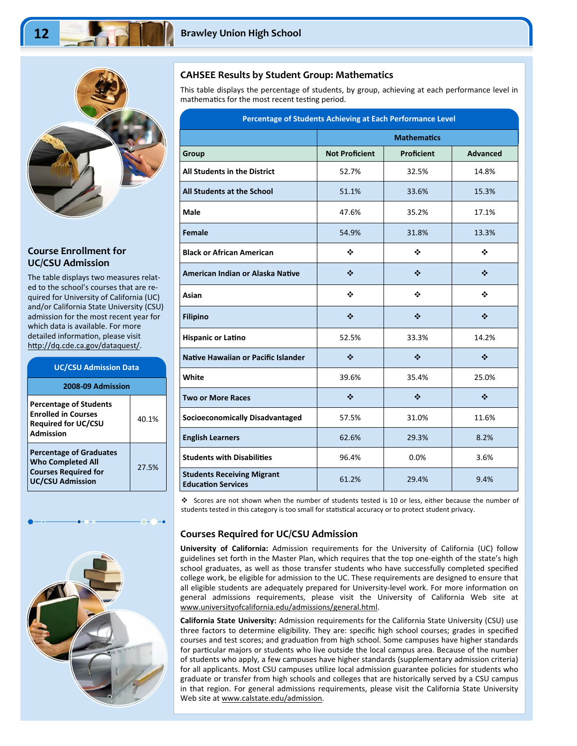

#### **Course Enrollment for UC/CSU Admission**

The table displays two measures relat‐ ed to the school's courses that are re‐ quired for University of California (UC) and/or California State University (CSU) admission for the most recent year for which data is available. For more detailed information, please visit http://dq.cde.ca.gov/dataquest/.

| <b>UC/CSU Admission Data</b>                                                                                         |       |  |  |  |
|----------------------------------------------------------------------------------------------------------------------|-------|--|--|--|
| 2008-09 Admission                                                                                                    |       |  |  |  |
| <b>Percentage of Students</b><br><b>Enrolled in Courses</b><br><b>Required for UC/CSU</b><br>Admission               | 40.1% |  |  |  |
| <b>Percentage of Graduates</b><br><b>Who Completed All</b><br><b>Courses Required for</b><br><b>UC/CSU Admission</b> | 27.5% |  |  |  |



#### **CAHSEE Results by Student Group: Mathematics**

This table displays the percentage of students, by group, achieving at each performance level in mathematics for the most recent testing period.

| Percentage of Students Achieving at Each Performance Level     |                               |                               |                                           |  |
|----------------------------------------------------------------|-------------------------------|-------------------------------|-------------------------------------------|--|
|                                                                | <b>Mathematics</b>            |                               |                                           |  |
| Group                                                          | <b>Not Proficient</b>         | <b>Proficient</b>             | <b>Advanced</b>                           |  |
| All Students in the District                                   | 52.7%                         | 32.5%                         | 14.8%                                     |  |
| All Students at the School                                     | 51.1%                         | 33.6%                         | 15.3%                                     |  |
| Male                                                           | 47.6%                         | 35.2%                         | 17.1%                                     |  |
| Female                                                         | 54.9%                         | 31.8%                         | 13.3%                                     |  |
| <b>Black or African American</b>                               | ❖                             | ❖                             | ❖                                         |  |
| American Indian or Alaska Native                               | ❖                             | ❖                             | $\frac{1}{2}$                             |  |
| Asian                                                          | ❖                             | ❖                             | ❖                                         |  |
| <b>Filipino</b>                                                | ❖                             | $\frac{1}{2}$                 | $\mathbf{r}^{\star}_{\mathbf{r}^{\star}}$ |  |
| <b>Hispanic or Latino</b>                                      | 52.5%                         | 33.3%                         | 14.2%                                     |  |
| Native Hawaiian or Pacific Islander                            | ❖                             | ❖                             | ❖                                         |  |
| White                                                          | 39.6%                         | 35.4%                         | 25.0%                                     |  |
| <b>Two or More Races</b>                                       | $\bullet^{\bullet}_{\bullet}$ | $\bullet^{\bullet}_{\bullet}$ | $\frac{1}{2}$                             |  |
| <b>Socioeconomically Disadvantaged</b>                         | 57.5%                         | 31.0%                         | 11.6%                                     |  |
| <b>English Learners</b>                                        | 62.6%                         | 29.3%                         | 8.2%                                      |  |
| <b>Students with Disabilities</b>                              | 96.4%                         | 0.0%                          | 3.6%                                      |  |
| <b>Students Receiving Migrant</b><br><b>Education Services</b> | 61.2%                         | 29.4%                         | 9.4%                                      |  |

 Scores are not shown when the number of students tested is 10 or less, either because the number of students tested in this category is too small for statistical accuracy or to protect student privacy.

# **Courses Required for UC/CSU Admission**

**University of California:** Admission requirements for the University of California (UC) follow guidelines set forth in the Master Plan, which requires that the top one‐eighth of the state's high school graduates, as well as those transfer students who have successfully completed specified college work, be eligible for admission to the UC. These requirements are designed to ensure that all eligible students are adequately prepared for University-level work. For more information on general admissions requirements, please visit the University of California Web site at www.universityofcalifornia.edu/admissions/general.html.

**California State University:** Admission requirements for the California State University (CSU) use three factors to determine eligibility. They are: specific high school courses; grades in specified courses and test scores; and graduation from high school. Some campuses have higher standards for particular majors or students who live outside the local campus area. Because of the number of students who apply, a few campuses have higher standards (supplementary admission criteria) for all applicants. Most CSU campuses utilize local admission guarantee policies for students who graduate or transfer from high schools and colleges that are historically served by a CSU campus in that region. For general admissions requirements, please visit the California State University Web site at www.calstate.edu/admission.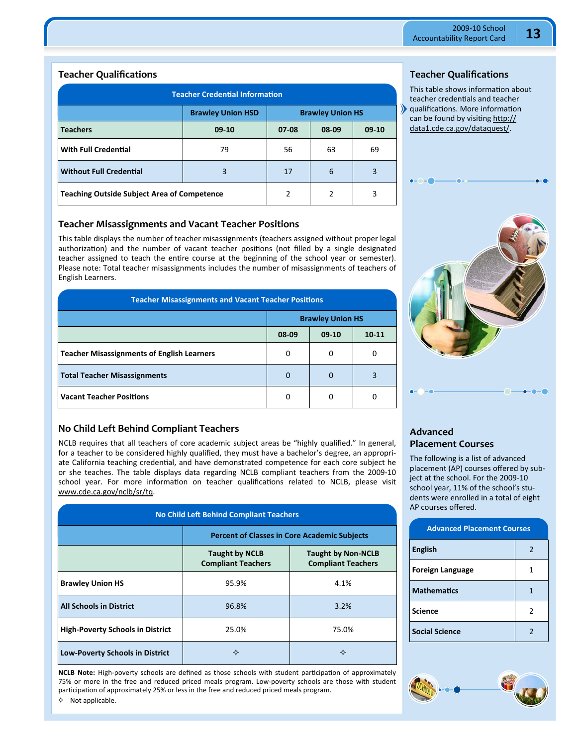#### **Teacher Qualifications**

| <b>Teacher Credential Information</b>               |                |           |       |         |
|-----------------------------------------------------|----------------|-----------|-------|---------|
| <b>Brawley Union HSD</b><br><b>Brawley Union HS</b> |                |           |       |         |
| <b>Teachers</b>                                     | $09-10$        | $07 - 08$ | 08-09 | $09-10$ |
| <b>With Full Credential</b>                         | 79             | 56        | 63    | 69      |
| <b>Without Full Credential</b>                      | 3              | 17        | 6     | 3       |
| <b>Teaching Outside Subject Area of Competence</b>  | $\overline{2}$ | 2         | 3     |         |

#### **Teacher Misassignments and Vacant Teacher Positions**

This table displays the number of teacher misassignments (teachers assigned without proper legal authorization) and the number of vacant teacher positions (not filled by a single designated teacher assigned to teach the entire course at the beginning of the school year or semester). Please note: Total teacher misassignments includes the number of misassignments of teachers of English Learners.

| <b>Teacher Misassignments and Vacant Teacher Positions</b> |                         |         |           |  |
|------------------------------------------------------------|-------------------------|---------|-----------|--|
|                                                            | <b>Brawley Union HS</b> |         |           |  |
|                                                            | 08-09                   | $09-10$ | $10 - 11$ |  |
| <b>Teacher Misassignments of English Learners</b>          | 0                       | 0       | 0         |  |
| <b>Total Teacher Misassignments</b>                        | 0                       | 0       |           |  |
| <b>Vacant Teacher Positions</b>                            | 0                       | 0       |           |  |

#### **No Child Left Behind Compliant Teachers**

NCLB requires that all teachers of core academic subject areas be "highly qualified." In general, for a teacher to be considered highly qualified, they must have a bachelor's degree, an appropriate California teaching credential, and have demonstrated competence for each core subject he or she teaches. The table displays data regarding NCLB compliant teachers from the 2009-10 school year. For more information on teacher qualifications related to NCLB, please visit www.cde.ca.gov/nclb/sr/tq.

| <b>No Child Left Behind Compliant Teachers</b> |                                                                                                              |       |  |  |  |
|------------------------------------------------|--------------------------------------------------------------------------------------------------------------|-------|--|--|--|
|                                                | <b>Percent of Classes in Core Academic Subjects</b>                                                          |       |  |  |  |
|                                                | <b>Taught by NCLB</b><br><b>Taught by Non-NCLB</b><br><b>Compliant Teachers</b><br><b>Compliant Teachers</b> |       |  |  |  |
| <b>Brawley Union HS</b>                        | 95.9%                                                                                                        | 4.1%  |  |  |  |
| <b>All Schools in District</b>                 | 96.8%                                                                                                        | 3.2%  |  |  |  |
| <b>High-Poverty Schools in District</b>        | 25.0%                                                                                                        | 75.0% |  |  |  |
| <b>Low-Poverty Schools in District</b>         | ✧                                                                                                            | ✧     |  |  |  |

**NCLB Note:** High-poverty schools are defined as those schools with student participation of approximately 75% or more in the free and reduced priced meals program. Low‐poverty schools are those with student participation of approximately 25% or less in the free and reduced priced meals program.

# **Teacher Qualifications**

This table shows information about teacher credentials and teacher qualificaƟons. More informaƟon can be found by visiting http:// data1.cde.ca.gov/dataquest/.



# **Advanced Placement Courses**

The following is a list of advanced placement (AP) courses offered by sub‐ ject at the school. For the 2009-10 school year, 11% of the school's stu‐ dents were enrolled in a total of eight AP courses offered.

| <b>Advanced Placement Courses</b> |                |  |
|-----------------------------------|----------------|--|
| <b>English</b>                    | $\mathfrak{p}$ |  |
| <b>Foreign Language</b>           | 1              |  |
| <b>Mathematics</b>                | 1              |  |
| <b>Science</b>                    | 2              |  |
| <b>Social Science</b>             | $\mathcal{P}$  |  |



 $\lozenge$  Not applicable.